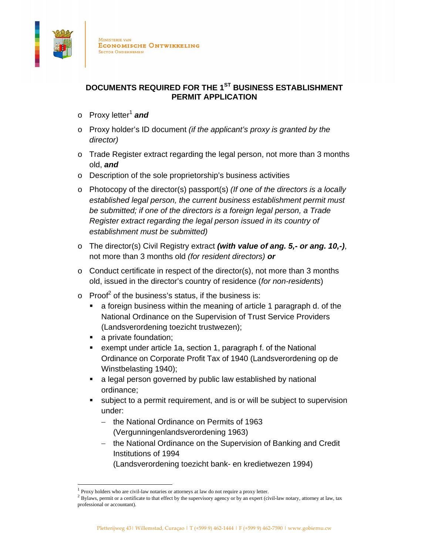

## **DOCUMENTS REQUIRED FOR THE 1ST BUSINESS ESTABLISHMENT PERMIT APPLICATION**

- o Proxy letter<sup>1</sup> and
- o Proxy holder's ID document *(if the applicant's proxy is granted by the director)*
- $\circ$  Trade Register extract regarding the legal person, not more than 3 months old, *and*
- o Description of the sole proprietorship's business activities
- o Photocopy of the director(s) passport(s) *(If one of the directors is a locally established legal person, the current business establishment permit must be submitted; if one of the directors is a foreign legal person, a Trade Register extract regarding the legal person issued in its country of establishment must be submitted)*
- o The director(s) Civil Registry extract *(with value of ang. 5,- or ang. 10,-)*, not more than 3 months old *(for resident directors) or*
- o Conduct certificate in respect of the director(s), not more than 3 months old, issued in the director's country of residence (*for non-residents*)
- $\circ$  Proof<sup>2</sup> of the business's status, if the business is:
	- a foreign business within the meaning of article 1 paragraph d. of the National Ordinance on the Supervision of Trust Service Providers (Landsverordening toezicht trustwezen);
	- a private foundation;

 

- exempt under article 1a, section 1, paragraph f. of the National Ordinance on Corporate Profit Tax of 1940 (Landsverordening op de Winstbelasting 1940);
- a legal person governed by public law established by national ordinance;
- subject to a permit requirement, and is or will be subject to supervision under:
	- $-$  the National Ordinance on Permits of 1963 (Vergunningenlandsverordening 1963)
	- the National Ordinance on the Supervision of Banking and Credit Institutions of 1994

(Landsverordening toezicht bank- en kredietwezen 1994)

 $1$  Proxy holders who are civil-law notaries or attorneys at law do not require a proxy letter.

 $2$  Bylaws, permit or a certificate to that effect by the supervisory agency or by an expert (civil-law notary, attorney at law, tax professional or accountant).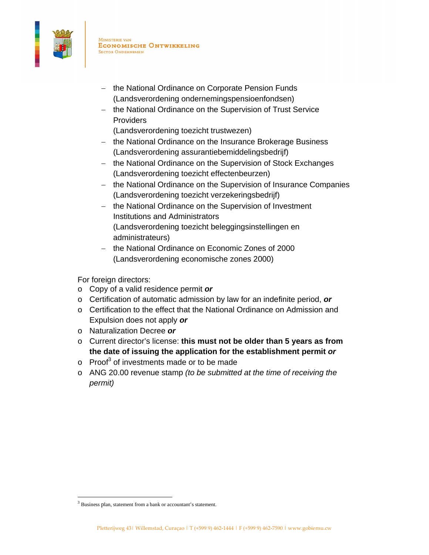

**MINISTERIE VAN ECONOMISCHE ONTWIKKELING SECTOR ONDERNEMEN** 

- the National Ordinance on Corporate Pension Funds (Landsverordening ondernemingspensioenfondsen)
- the National Ordinance on the Supervision of Trust Service **Providers** 
	- (Landsverordening toezicht trustwezen)
- the National Ordinance on the Insurance Brokerage Business (Landsverordening assurantiebemiddelingsbedrijf)
- the National Ordinance on the Supervision of Stock Exchanges (Landsverordening toezicht effectenbeurzen)
- the National Ordinance on the Supervision of Insurance Companies (Landsverordening toezicht verzekeringsbedrijf)
- the National Ordinance on the Supervision of Investment Institutions and Administrators (Landsverordening toezicht beleggingsinstellingen en administrateurs)
- the National Ordinance on Economic Zones of 2000 (Landsverordening economische zones 2000)

For foreign directors:

- o Copy of a valid residence permit *or*
- o Certification of automatic admission by law for an indefinite period, *or*
- o Certification to the effect that the National Ordinance on Admission and Expulsion does not apply *or*
- o Naturalization Decree *or*
- o Current director's license: **this must not be older than 5 years as from the date of issuing the application for the establishment permit** *or*
- $\circ$  Proof<sup>3</sup> of investments made or to be made
- o ANG 20.00 revenue stamp *(to be submitted at the time of receiving the permit)*

<sup>3</sup> Business plan, statement from a bank or accountant's statement.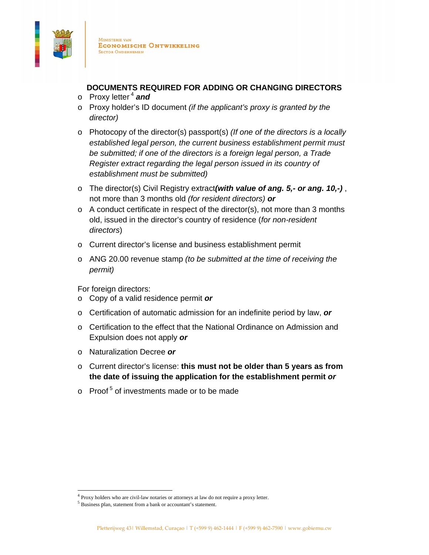

**MINISTERIE VAN ECONOMISCHE ONTWIKKELING SECTOR ONDERNEMEN** 

## **DOCUMENTS REQUIRED FOR ADDING OR CHANGING DIRECTORS**

- o Proxy letter 4 *and*
- o Proxy holder's ID document *(if the applicant's proxy is granted by the director)*
- o Photocopy of the director(s) passport(s) *(If one of the directors is a locally established legal person, the current business establishment permit must be submitted; if one of the directors is a foreign legal person, a Trade Register extract regarding the legal person issued in its country of establishment must be submitted)*
- o The director(s) Civil Registry extract*(with value of ang. 5,- or ang. 10,-)* , not more than 3 months old *(for resident directors) or*
- $\circ$  A conduct certificate in respect of the director(s), not more than 3 months old, issued in the director's country of residence (*for non-resident directors*)
- o Current director's license and business establishment permit
- o ANG 20.00 revenue stamp *(to be submitted at the time of receiving the permit)*

For foreign directors:

- o Copy of a valid residence permit *or*
- o Certification of automatic admission for an indefinite period by law, *or*
- o Certification to the effect that the National Ordinance on Admission and Expulsion does not apply *or*
- o Naturalization Decree *or*
- o Current director's license: **this must not be older than 5 years as from the date of issuing the application for the establishment permit** *or*
- $\circ$  Proof<sup>5</sup> of investments made or to be made

<sup>&</sup>lt;sup>4</sup> Proxy holders who are civil-law notaries or attorneys at law do not require a proxy letter.

<sup>5</sup> Business plan, statement from a bank or accountant's statement.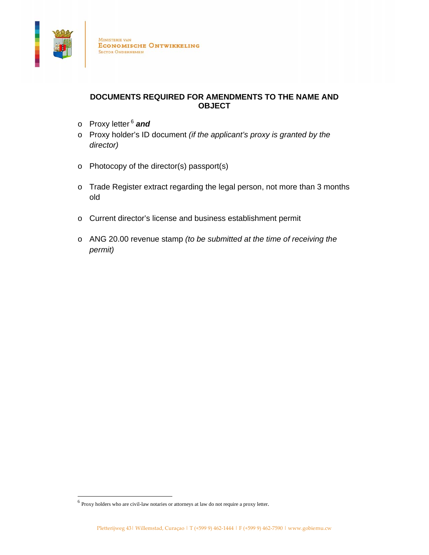

## **DOCUMENTS REQUIRED FOR AMENDMENTS TO THE NAME AND OBJECT**

- o Proxy letter 6 *and*
- o Proxy holder's ID document *(if the applicant's proxy is granted by the director)*
- o Photocopy of the director(s) passport(s)
- o Trade Register extract regarding the legal person, not more than 3 months old
- o Current director's license and business establishment permit
- o ANG 20.00 revenue stamp *(to be submitted at the time of receiving the permit)*

 $<sup>6</sup>$  Proxy holders who are civil-law notaries or attorneys at law do not require a proxy letter.</sup>